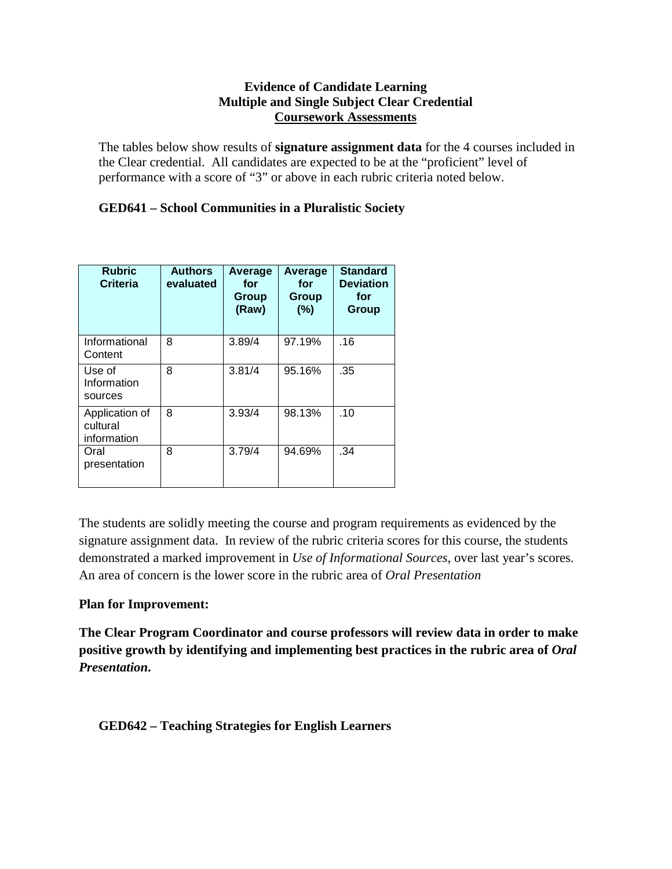### **Evidence of Candidate Learning Multiple and Single Subject Clear Credential Coursework Assessments**

The tables below show results of **signature assignment data** for the 4 courses included in the Clear credential. All candidates are expected to be at the "proficient" level of performance with a score of "3" or above in each rubric criteria noted below.

# **GED641 – School Communities in a Pluralistic Society**

| <b>Rubric</b><br>Criteria                 | <b>Authors</b><br>evaluated | Average<br>for<br>Group<br>(Raw) | Average<br>for<br>Group<br>(%) | <b>Standard</b><br><b>Deviation</b><br>for<br>Group |
|-------------------------------------------|-----------------------------|----------------------------------|--------------------------------|-----------------------------------------------------|
| Informational<br>Content                  | 8                           | 3.89/4                           | 97.19%                         | .16                                                 |
| Use of<br>Information<br>sources          | 8                           | 3.81/4                           | 95.16%                         | .35                                                 |
| Application of<br>cultural<br>information | 8                           | 3.93/4                           | 98.13%                         | .10                                                 |
| Oral<br>presentation                      | 8                           | 3.79/4                           | 94.69%                         | .34                                                 |

The students are solidly meeting the course and program requirements as evidenced by the signature assignment data. In review of the rubric criteria scores for this course, the students demonstrated a marked improvement in *Use of Informational Sources*, over last year's scores. An area of concern is the lower score in the rubric area of *Oral Presentation*

## **Plan for Improvement:**

**The Clear Program Coordinator and course professors will review data in order to make positive growth by identifying and implementing best practices in the rubric area of** *Oral Presentation***.**

## **GED642 – Teaching Strategies for English Learners**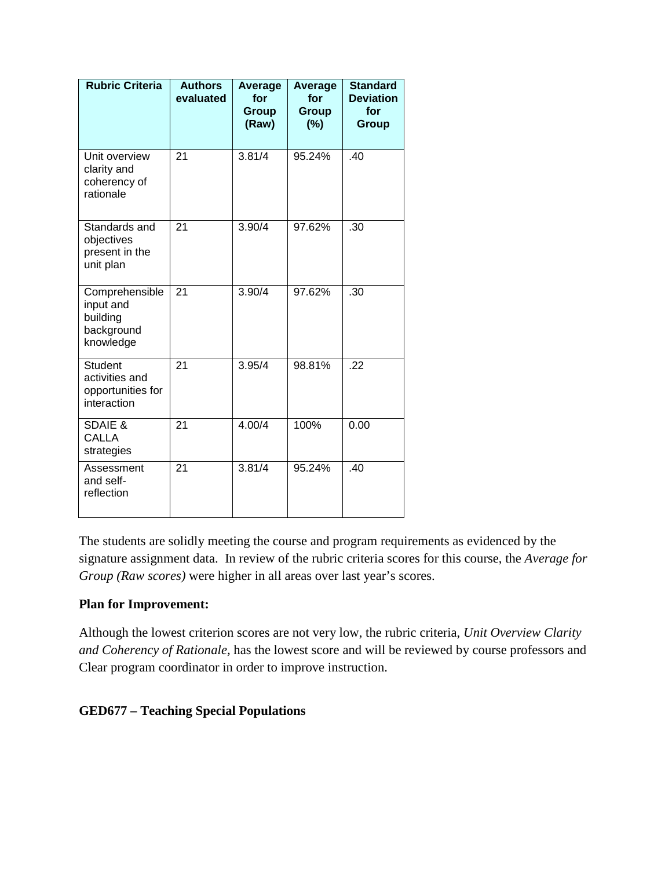| <b>Rubric Criteria</b>                                               | <b>Authors</b><br>evaluated | Average<br>for<br>Group<br>(Raw) | Average<br>for<br>Group<br>(%) | <b>Standard</b><br><b>Deviation</b><br>for<br><b>Group</b> |
|----------------------------------------------------------------------|-----------------------------|----------------------------------|--------------------------------|------------------------------------------------------------|
| Unit overview<br>clarity and<br>coherency of<br>rationale            | 21                          | 3.81/4                           | 95.24%                         | .40                                                        |
| Standards and<br>objectives<br>present in the<br>unit plan           | 21                          | 3.90/4                           | 97.62%                         | .30                                                        |
| Comprehensible<br>input and<br>building<br>background<br>knowledge   | 21                          | 3.90/4                           | 97.62%                         | .30                                                        |
| <b>Student</b><br>activities and<br>opportunities for<br>interaction | 21                          | 3.95/4                           | 98.81%                         | .22                                                        |
| <b>SDAIE &amp;</b><br><b>CALLA</b><br>strategies                     | 21                          | 4.00/4                           | 100%                           | 0.00                                                       |
| Assessment<br>and self-<br>reflection                                | 21                          | 3.81/4                           | 95.24%                         | .40                                                        |

The students are solidly meeting the course and program requirements as evidenced by the signature assignment data. In review of the rubric criteria scores for this course, the *Average for Group (Raw scores)* were higher in all areas over last year's scores.

## **Plan for Improvement:**

Although the lowest criterion scores are not very low, the rubric criteria, *Unit Overview Clarity and Coherency of Rationale,* has the lowest score and will be reviewed by course professors and Clear program coordinator in order to improve instruction.

## **GED677 – Teaching Special Populations**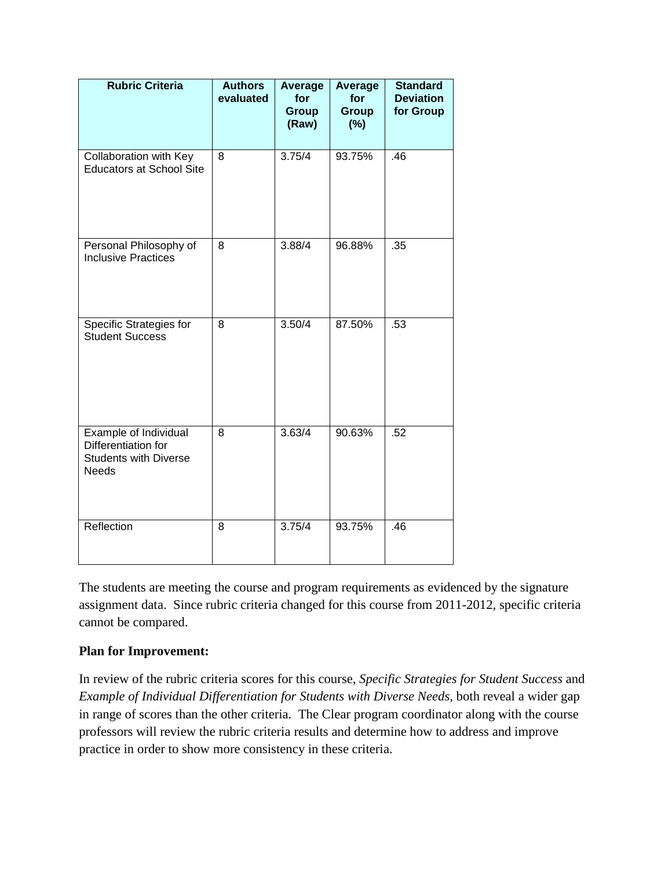| <b>Rubric Criteria</b>                                                                              | <b>Authors</b><br>evaluated | <b>Average</b><br>for<br>Group<br>(Raw) | Average<br>for<br><b>Group</b><br>(%) | <b>Standard</b><br><b>Deviation</b><br>for Group |
|-----------------------------------------------------------------------------------------------------|-----------------------------|-----------------------------------------|---------------------------------------|--------------------------------------------------|
| Collaboration with Key<br><b>Educators at School Site</b>                                           | 8                           | 3.75/4                                  | 93.75%                                | .46                                              |
| Personal Philosophy of<br><b>Inclusive Practices</b>                                                | 8                           | 3.88/4                                  | 96.88%                                | .35                                              |
| <b>Specific Strategies for</b><br><b>Student Success</b>                                            | 8                           | 3.50/4                                  | 87.50%                                | .53                                              |
| <b>Example of Individual</b><br>Differentiation for<br><b>Students with Diverse</b><br><b>Needs</b> | 8                           | 3.63/4                                  | 90.63%                                | .52                                              |
| Reflection                                                                                          | 8                           | 3.75/4                                  | 93.75%                                | .46                                              |

The students are meeting the course and program requirements as evidenced by the signature assignment data. Since rubric criteria changed for this course from 2011-2012, specific criteria cannot be compared.

#### **Plan for Improvement:**

In review of the rubric criteria scores for this course, *Specific Strategies for Student Success* and *Example of Individual Differentiation for Students with Diverse Needs, both reveal a wider gap* in range of scores than the other criteria. The Clear program coordinator along with the course professors will review the rubric criteria results and determine how to address and improve practice in order to show more consistency in these criteria.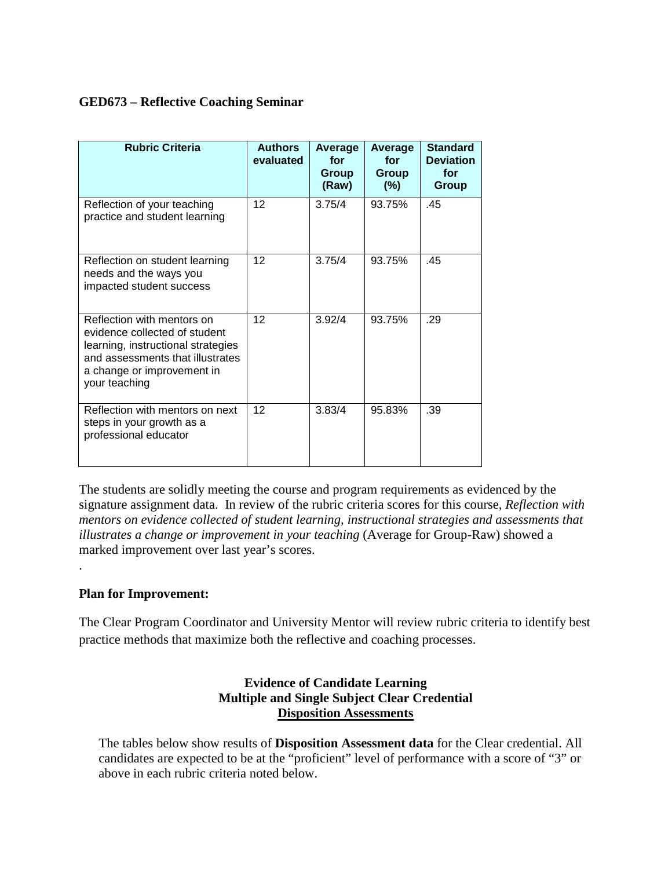## **GED673 – Reflective Coaching Seminar**

| <b>Rubric Criteria</b>                                                                                                                                                               | <b>Authors</b><br>evaluated | Average<br>for<br>Group<br>(Raw) | Average<br>for<br>Group<br>$(\%)$ | <b>Standard</b><br><b>Deviation</b><br>for<br><b>Group</b> |
|--------------------------------------------------------------------------------------------------------------------------------------------------------------------------------------|-----------------------------|----------------------------------|-----------------------------------|------------------------------------------------------------|
| Reflection of your teaching<br>practice and student learning                                                                                                                         | 12                          | 3.75/4                           | 93.75%                            | .45                                                        |
| Reflection on student learning<br>needs and the ways you<br>impacted student success                                                                                                 | 12                          | 3.75/4                           | 93.75%                            | .45                                                        |
| Reflection with mentors on<br>evidence collected of student<br>learning, instructional strategies<br>and assessments that illustrates<br>a change or improvement in<br>your teaching | 12                          | 3.92/4                           | 93.75%                            | .29                                                        |
| Reflection with mentors on next<br>steps in your growth as a<br>professional educator                                                                                                | 12                          | 3.83/4                           | 95.83%                            | .39                                                        |

The students are solidly meeting the course and program requirements as evidenced by the signature assignment data. In review of the rubric criteria scores for this course, *Reflection with mentors on evidence collected of student learning, instructional strategies and assessments that illustrates a change or improvement in your teaching* (Average for Group-Raw) showed a marked improvement over last year's scores.

## **Plan for Improvement:**

.

The Clear Program Coordinator and University Mentor will review rubric criteria to identify best practice methods that maximize both the reflective and coaching processes.

### **Evidence of Candidate Learning Multiple and Single Subject Clear Credential Disposition Assessments**

The tables below show results of **Disposition Assessment data** for the Clear credential. All candidates are expected to be at the "proficient" level of performance with a score of "3" or above in each rubric criteria noted below.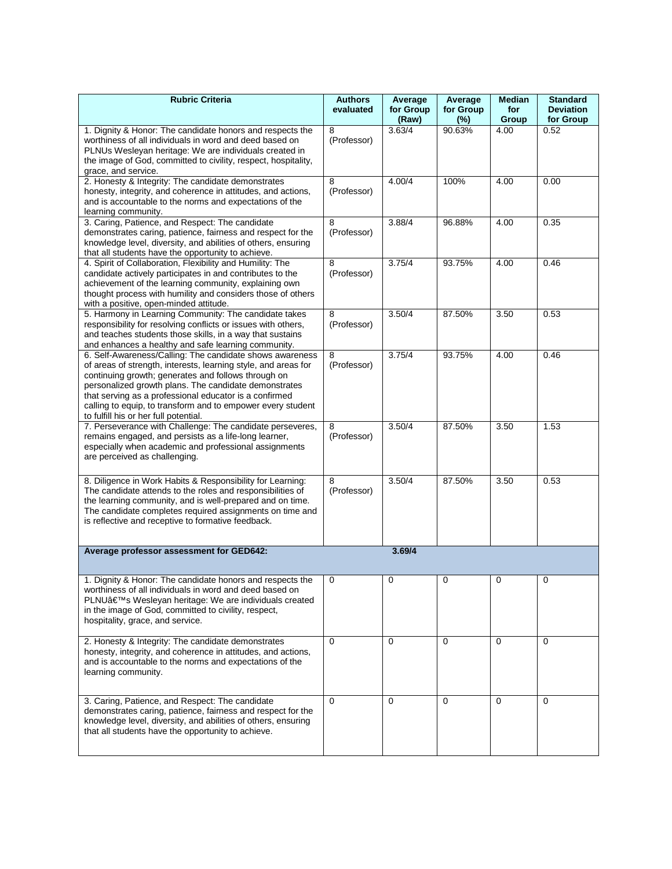| <b>Rubric Criteria</b>                                                                                                                                                                                                                                                                                                                                                                                       | <b>Authors</b><br>evaluated | Average<br>for Group<br>(Raw) | Average<br>for Group<br>$(\%)$ | <b>Median</b><br>for<br>Group | <b>Standard</b><br><b>Deviation</b><br>for Group |
|--------------------------------------------------------------------------------------------------------------------------------------------------------------------------------------------------------------------------------------------------------------------------------------------------------------------------------------------------------------------------------------------------------------|-----------------------------|-------------------------------|--------------------------------|-------------------------------|--------------------------------------------------|
| 1. Dignity & Honor: The candidate honors and respects the<br>worthiness of all individuals in word and deed based on<br>PLNUs Wesleyan heritage: We are individuals created in<br>the image of God, committed to civility, respect, hospitality,<br>grace, and service.                                                                                                                                      | 8<br>(Professor)            | 3.63/4                        | 90.63%                         | 4.00                          | 0.52                                             |
| 2. Honesty & Integrity: The candidate demonstrates<br>honesty, integrity, and coherence in attitudes, and actions,<br>and is accountable to the norms and expectations of the<br>learning community.                                                                                                                                                                                                         | 8<br>(Professor)            | 4.00/4                        | 100%                           | 4.00                          | 0.00                                             |
| 3. Caring, Patience, and Respect: The candidate<br>demonstrates caring, patience, fairness and respect for the<br>knowledge level, diversity, and abilities of others, ensuring<br>that all students have the opportunity to achieve.                                                                                                                                                                        | 8<br>(Professor)            | 3.88/4                        | 96.88%                         | 4.00                          | 0.35                                             |
| 4. Spirit of Collaboration, Flexibility and Humility: The<br>candidate actively participates in and contributes to the<br>achievement of the learning community, explaining own<br>thought process with humility and considers those of others<br>with a positive, open-minded attitude.                                                                                                                     | 8<br>(Professor)            | 3.75/4                        | 93.75%                         | 4.00                          | 0.46                                             |
| 5. Harmony in Learning Community: The candidate takes<br>responsibility for resolving conflicts or issues with others,<br>and teaches students those skills, in a way that sustains<br>and enhances a healthy and safe learning community.                                                                                                                                                                   | 8<br>(Professor)            | 3.50/4                        | 87.50%                         | 3.50                          | 0.53                                             |
| 6. Self-Awareness/Calling: The candidate shows awareness<br>of areas of strength, interests, learning style, and areas for<br>continuing growth; generates and follows through on<br>personalized growth plans. The candidate demonstrates<br>that serving as a professional educator is a confirmed<br>calling to equip, to transform and to empower every student<br>to fulfill his or her full potential. | 8<br>(Professor)            | 3.75/4                        | 93.75%                         | 4.00                          | 0.46                                             |
| 7. Perseverance with Challenge: The candidate perseveres,<br>remains engaged, and persists as a life-long learner,<br>especially when academic and professional assignments<br>are perceived as challenging.                                                                                                                                                                                                 | 8<br>(Professor)            | 3.50/4                        | 87.50%                         | 3.50                          | 1.53                                             |
| 8. Diligence in Work Habits & Responsibility for Learning:<br>The candidate attends to the roles and responsibilities of<br>the learning community, and is well-prepared and on time.<br>The candidate completes required assignments on time and<br>is reflective and receptive to formative feedback.                                                                                                      | 8<br>(Professor)            | 3.50/4                        | 87.50%                         | 3.50                          | 0.53                                             |
| Average professor assessment for GED642:                                                                                                                                                                                                                                                                                                                                                                     |                             | 3.69/4                        |                                |                               |                                                  |
| 1. Dignity & Honor: The candidate honors and respects the<br>worthiness of all individuals in word and deed based on<br>PLNU's Wesleyan heritage: We are individuals created<br>in the image of God, committed to civility, respect,<br>hospitality, grace, and service.                                                                                                                                     | $\mathbf 0$                 | 0                             | 0                              | $\mathbf 0$                   | $\mathbf 0$                                      |
| 2. Honesty & Integrity: The candidate demonstrates<br>honesty, integrity, and coherence in attitudes, and actions,<br>and is accountable to the norms and expectations of the<br>learning community.                                                                                                                                                                                                         | $\Omega$                    | $\Omega$                      | $\Omega$                       | $\Omega$                      | $\Omega$                                         |
| 3. Caring, Patience, and Respect: The candidate<br>demonstrates caring, patience, fairness and respect for the<br>knowledge level, diversity, and abilities of others, ensuring<br>that all students have the opportunity to achieve.                                                                                                                                                                        | $\Omega$                    | $\Omega$                      | $\Omega$                       | $\Omega$                      | 0                                                |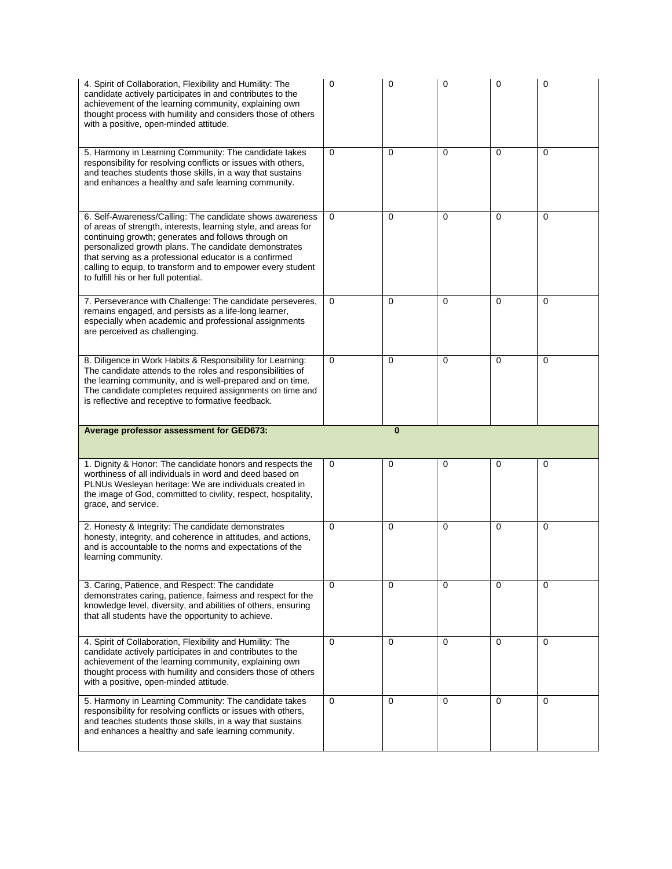| 4. Spirit of Collaboration, Flexibility and Humility: The<br>candidate actively participates in and contributes to the<br>achievement of the learning community, explaining own<br>thought process with humility and considers those of others<br>with a positive, open-minded attitude.                                                                                                                     | 0        | $\Omega$ | $\Omega$ | $\Omega$ | 0        |
|--------------------------------------------------------------------------------------------------------------------------------------------------------------------------------------------------------------------------------------------------------------------------------------------------------------------------------------------------------------------------------------------------------------|----------|----------|----------|----------|----------|
| 5. Harmony in Learning Community: The candidate takes<br>responsibility for resolving conflicts or issues with others,<br>and teaches students those skills, in a way that sustains<br>and enhances a healthy and safe learning community.                                                                                                                                                                   | $\Omega$ | $\Omega$ | $\Omega$ | $\Omega$ | $\Omega$ |
| 6. Self-Awareness/Calling: The candidate shows awareness<br>of areas of strength, interests, learning style, and areas for<br>continuing growth; generates and follows through on<br>personalized growth plans. The candidate demonstrates<br>that serving as a professional educator is a confirmed<br>calling to equip, to transform and to empower every student<br>to fulfill his or her full potential. | 0        | $\Omega$ | $\Omega$ | $\Omega$ | $\Omega$ |
| 7. Perseverance with Challenge: The candidate perseveres,<br>remains engaged, and persists as a life-long learner,<br>especially when academic and professional assignments<br>are perceived as challenging.                                                                                                                                                                                                 | 0        | $\Omega$ | $\Omega$ | 0        | 0        |
| 8. Diligence in Work Habits & Responsibility for Learning:<br>The candidate attends to the roles and responsibilities of<br>the learning community, and is well-prepared and on time.<br>The candidate completes required assignments on time and<br>is reflective and receptive to formative feedback.                                                                                                      | 0        | $\Omega$ | $\Omega$ | 0        | $\Omega$ |
|                                                                                                                                                                                                                                                                                                                                                                                                              |          |          |          |          |          |
| Average professor assessment for GED673:                                                                                                                                                                                                                                                                                                                                                                     |          | $\bf{0}$ |          |          |          |
| 1. Dignity & Honor: The candidate honors and respects the<br>worthiness of all individuals in word and deed based on<br>PLNUs Wesleyan heritage: We are individuals created in<br>the image of God, committed to civility, respect, hospitality,<br>grace, and service.                                                                                                                                      | 0        | 0        | 0        | 0        | 0        |
| 2. Honesty & Integrity: The candidate demonstrates<br>honesty, integrity, and coherence in attitudes, and actions,<br>and is accountable to the norms and expectations of the<br>learning community.                                                                                                                                                                                                         | $\Omega$ | $\Omega$ | $\Omega$ | $\Omega$ | $\Omega$ |
| 3. Caring, Patience, and Respect: The candidate<br>demonstrates caring, patience, fairness and respect for the<br>knowledge level, diversity, and abilities of others, ensuring<br>that all students have the opportunity to achieve.                                                                                                                                                                        | $\Omega$ | $\Omega$ | $\Omega$ | $\Omega$ | $\Omega$ |
| 4. Spirit of Collaboration, Flexibility and Humility: The<br>candidate actively participates in and contributes to the<br>achievement of the learning community, explaining own<br>thought process with humility and considers those of others<br>with a positive, open-minded attitude.                                                                                                                     | $\Omega$ | $\Omega$ | $\Omega$ | $\Omega$ | $\Omega$ |